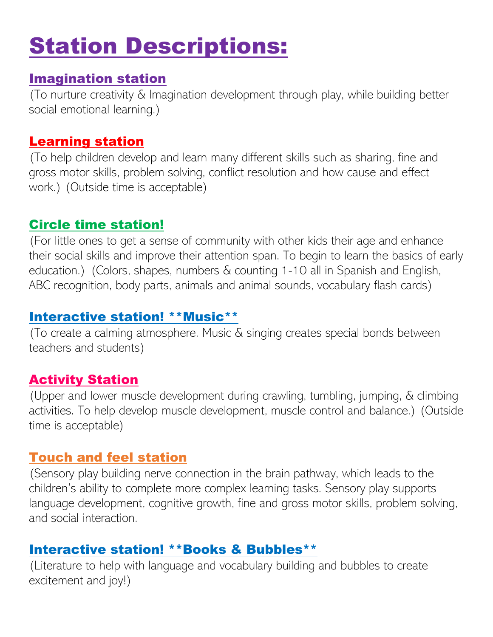# Station Descriptions:

#### Imagination station

(To nurture creativity & Imagination development through play, while building better social emotional learning.)

#### Learning station

(To help children develop and learn many different skills such as sharing, fine and gross motor skills, problem solving, conflict resolution and how cause and effect work.) (Outside time is acceptable)

## Circle time station!

(For little ones to get a sense of community with other kids their age and enhance their social skills and improve their attention span. To begin to learn the basics of early education.) (Colors, shapes, numbers & counting 1-10 all in Spanish and English, ABC recognition, body parts, animals and animal sounds, vocabulary flash cards)

#### Interactive station! \*\*Music\*\*

(To create a calming atmosphere. Music & singing creates special bonds between teachers and students)

## Activity Station

(Upper and lower muscle development during crawling, tumbling, jumping, & climbing activities. To help develop muscle development, muscle control and balance.) (Outside time is acceptable)

#### Touch and feel station

(Sensory play building nerve connection in the brain pathway, which leads to the children's ability to complete more complex learning tasks. Sensory play supports language development, cognitive growth, fine and gross motor skills, problem solving, and social interaction.

#### Interactive station! \*\*Books & Bubbles\*\*

(Literature to help with language and vocabulary building and bubbles to create excitement and joy!)